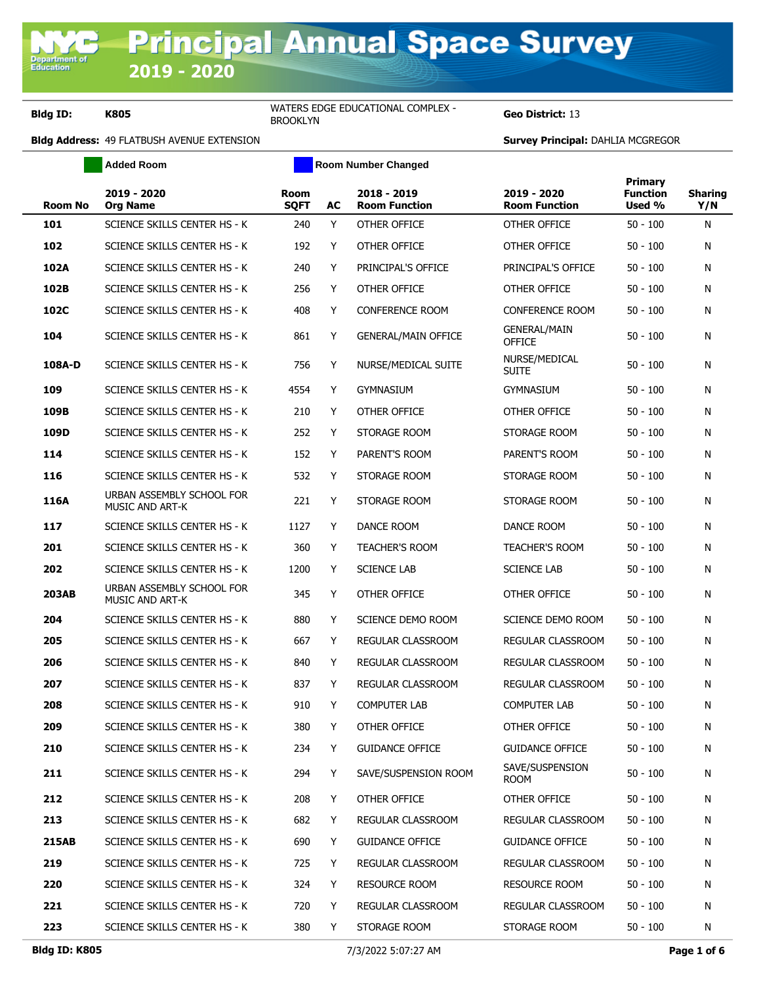**Added Room Room Room Number Changed** 

Geo District: 13

|              |                                                     |                            |    |                                     | <b>Primary</b>                       |                           |                       |
|--------------|-----------------------------------------------------|----------------------------|----|-------------------------------------|--------------------------------------|---------------------------|-----------------------|
| Room No      | 2019 - 2020<br><b>Org Name</b>                      | <b>Room</b><br><b>SQFT</b> | AC | 2018 - 2019<br><b>Room Function</b> | 2019 - 2020<br><b>Room Function</b>  | <b>Function</b><br>Used % | <b>Sharing</b><br>Y/N |
| 101          | SCIENCE SKILLS CENTER HS - K                        | 240                        | Y  | OTHER OFFICE                        | OTHER OFFICE                         | $50 - 100$                | N                     |
| 102          | SCIENCE SKILLS CENTER HS - K                        | 192                        | Y  | OTHER OFFICE                        | OTHER OFFICE                         | $50 - 100$                | N                     |
| 102A         | SCIENCE SKILLS CENTER HS - K                        | 240                        | Y  | PRINCIPAL'S OFFICE                  | PRINCIPAL'S OFFICE                   | $50 - 100$                | N                     |
| 102B         | SCIENCE SKILLS CENTER HS - K                        | 256                        | Y  | OTHER OFFICE                        | OTHER OFFICE                         | 50 - 100                  | N                     |
| 102C         | SCIENCE SKILLS CENTER HS - K                        | 408                        | Y  | <b>CONFERENCE ROOM</b>              | CONFERENCE ROOM                      | $50 - 100$                | N                     |
| 104          | SCIENCE SKILLS CENTER HS - K                        | 861                        | Y  | <b>GENERAL/MAIN OFFICE</b>          | <b>GENERAL/MAIN</b><br><b>OFFICE</b> | $50 - 100$                | N                     |
| 108A-D       | SCIENCE SKILLS CENTER HS - K                        | 756                        | Y  | NURSE/MEDICAL SUITE                 | NURSE/MEDICAL<br>Suite               | $50 - 100$                | N                     |
| 109          | SCIENCE SKILLS CENTER HS - K                        | 4554                       | Y  | <b>GYMNASIUM</b>                    | <b>GYMNASIUM</b>                     | 50 - 100                  | N                     |
| 109B         | SCIENCE SKILLS CENTER HS - K                        | 210                        | Y  | OTHER OFFICE                        | OTHER OFFICE                         | $50 - 100$                | N                     |
| 109D         | SCIENCE SKILLS CENTER HS - K                        | 252                        | Y  | STORAGE ROOM                        | STORAGE ROOM                         | $50 - 100$                | N                     |
| 114          | SCIENCE SKILLS CENTER HS - K                        | 152                        | Y  | PARENT'S ROOM                       | PARENT'S ROOM                        | $50 - 100$                | N                     |
| 116          | SCIENCE SKILLS CENTER HS - K                        | 532                        | Y  | STORAGE ROOM                        | STORAGE ROOM                         | 50 - 100                  | N                     |
| 116A         | URBAN ASSEMBLY SCHOOL FOR<br><b>MUSIC AND ART-K</b> | 221                        | Y  | STORAGE ROOM                        | STORAGE ROOM                         | $50 - 100$                | N                     |
| 117          | SCIENCE SKILLS CENTER HS - K                        | 1127                       | Y  | DANCE ROOM                          | DANCE ROOM                           | $50 - 100$                | N                     |
| 201          | SCIENCE SKILLS CENTER HS - K                        | 360                        | Y  | <b>TEACHER'S ROOM</b>               | <b>TEACHER'S ROOM</b>                | $50 - 100$                | N                     |
| 202          | SCIENCE SKILLS CENTER HS - K                        | 1200                       | Y  | <b>SCIENCE LAB</b>                  | <b>SCIENCE LAB</b>                   | 50 - 100                  | N                     |
| <b>203AB</b> | URBAN ASSEMBLY SCHOOL FOR<br><b>MUSIC AND ART-K</b> | 345                        | Y  | OTHER OFFICE                        | OTHER OFFICE                         | 50 - 100                  | N                     |
| 204          | SCIENCE SKILLS CENTER HS - K                        | 880                        | Y  | SCIENCE DEMO ROOM                   | SCIENCE DEMO ROOM                    | $50 - 100$                | N                     |
| 205          | SCIENCE SKILLS CENTER HS - K                        | 667                        | Y  | REGULAR CLASSROOM                   | REGULAR CLASSROOM                    | $50 - 100$                | N                     |
| 206          | SCIENCE SKILLS CENTER HS - K                        | 840                        | Y  | REGULAR CLASSROOM                   | <b>REGULAR CLASSROOM</b>             | $50 - 100$                | N                     |
| 207          | SCIENCE SKILLS CENTER HS - K                        | 837                        | Y  | REGULAR CLASSROOM                   | REGULAR CLASSROOM                    | $50 - 100$                | N                     |
| 208          | SCIENCE SKILLS CENTER HS - K                        | 910                        | Y  | <b>COMPUTER LAB</b>                 | <b>COMPUTER LAB</b>                  | 50 - 100                  | N                     |
| 209          | SCIENCE SKILLS CENTER HS - K                        | 380                        | Y  | OTHER OFFICE                        | OTHER OFFICE                         | 50 - 100                  | N                     |
| 210          | SCIENCE SKILLS CENTER HS - K                        | 234                        | Y  | <b>GUIDANCE OFFICE</b>              | <b>GUIDANCE OFFICE</b>               | $50 - 100$                | N                     |
| 211          | SCIENCE SKILLS CENTER HS - K                        | 294                        | Y  | SAVE/SUSPENSION ROOM                | SAVE/SUSPENSION<br>room              | $50 - 100$                | N                     |
| 212          | SCIENCE SKILLS CENTER HS - K                        | 208                        | Y  | OTHER OFFICE                        | OTHER OFFICE                         | $50 - 100$                | N                     |
| 213          | SCIENCE SKILLS CENTER HS - K                        | 682                        | Y  | REGULAR CLASSROOM                   | REGULAR CLASSROOM                    | $50 - 100$                | N                     |
| <b>215AB</b> | SCIENCE SKILLS CENTER HS - K                        | 690                        | Y  | <b>GUIDANCE OFFICE</b>              | <b>GUIDANCE OFFICE</b>               | $50 - 100$                | N                     |
| 219          | SCIENCE SKILLS CENTER HS - K                        | 725                        | Y  | REGULAR CLASSROOM                   | REGULAR CLASSROOM                    | $50 - 100$                | N                     |
| 220          | SCIENCE SKILLS CENTER HS - K                        | 324                        | Y  | <b>RESOURCE ROOM</b>                | <b>RESOURCE ROOM</b>                 | $50 - 100$                | N                     |
| 221          | SCIENCE SKILLS CENTER HS - K                        | 720                        | Y  | REGULAR CLASSROOM                   | REGULAR CLASSROOM                    | $50 - 100$                | N                     |
| 223          | SCIENCE SKILLS CENTER HS - K                        | 380                        | Y  | STORAGE ROOM                        | STORAGE ROOM                         | $50 - 100$                | N                     |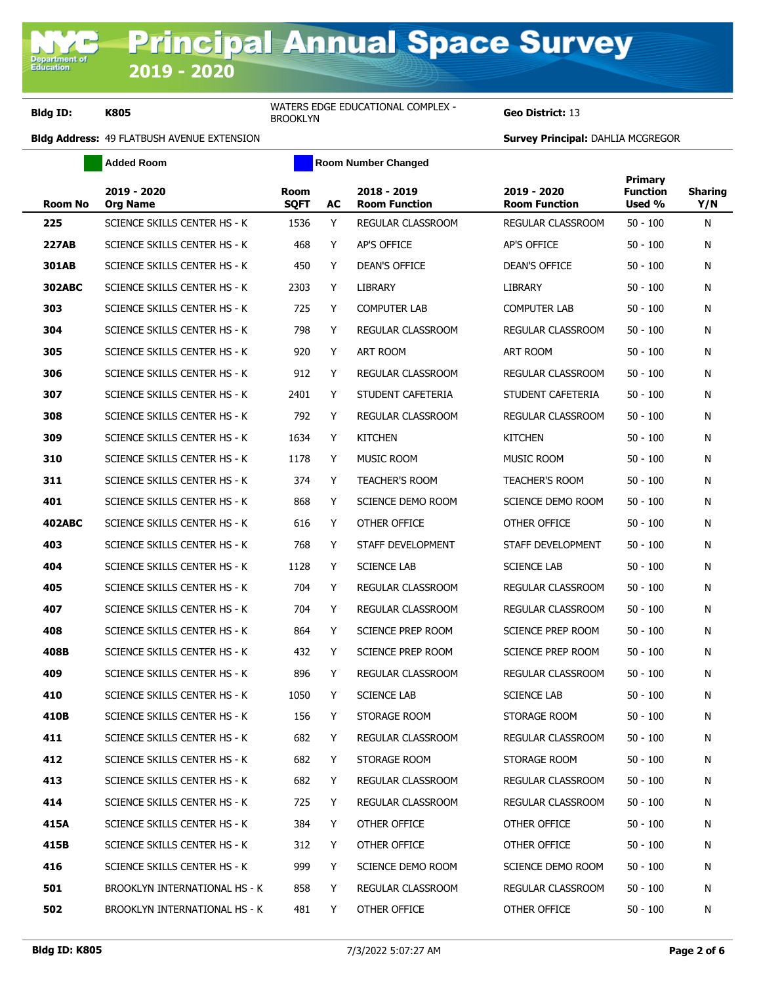**Geo District: 13** 

|                | <b>Added Room</b>              |                            |    | <b>Room Number Changed</b>          |                                     |                                      |                       |
|----------------|--------------------------------|----------------------------|----|-------------------------------------|-------------------------------------|--------------------------------------|-----------------------|
| <b>Room No</b> | 2019 - 2020<br><b>Org Name</b> | <b>Room</b><br><b>SQFT</b> | AC | 2018 - 2019<br><b>Room Function</b> | 2019 - 2020<br><b>Room Function</b> | Primary<br><b>Function</b><br>Used % | <b>Sharing</b><br>Y/N |
| 225            | SCIENCE SKILLS CENTER HS - K   | 1536                       | Y  | REGULAR CLASSROOM                   | REGULAR CLASSROOM                   | $50 - 100$                           | N                     |
| <b>227AB</b>   | SCIENCE SKILLS CENTER HS - K   | 468                        | Y  | <b>AP'S OFFICE</b>                  | AP'S OFFICE                         | $50 - 100$                           | N                     |
| <b>301AB</b>   | SCIENCE SKILLS CENTER HS - K   | 450                        | Y  | <b>DEAN'S OFFICE</b>                | DEAN'S OFFICE                       | $50 - 100$                           | N                     |
| <b>302ABC</b>  | SCIENCE SKILLS CENTER HS - K   | 2303                       | Y  | <b>LIBRARY</b>                      | <b>LIBRARY</b>                      | $50 - 100$                           | N                     |
| 303            | SCIENCE SKILLS CENTER HS - K   | 725                        | Y  | <b>COMPUTER LAB</b>                 | <b>COMPUTER LAB</b>                 | $50 - 100$                           | N                     |
| 304            | SCIENCE SKILLS CENTER HS - K   | 798                        | Y  | REGULAR CLASSROOM                   | REGULAR CLASSROOM                   | $50 - 100$                           | N                     |
| 305            | SCIENCE SKILLS CENTER HS - K   | 920                        | Y  | ART ROOM                            | ART ROOM                            | $50 - 100$                           | N                     |
| 306            | SCIENCE SKILLS CENTER HS - K   | 912                        | Y  | REGULAR CLASSROOM                   | REGULAR CLASSROOM                   | $50 - 100$                           | N                     |
| 307            | SCIENCE SKILLS CENTER HS - K   | 2401                       | Y  | STUDENT CAFETERIA                   | STUDENT CAFETERIA                   | $50 - 100$                           | N                     |
| 308            | SCIENCE SKILLS CENTER HS - K   | 792                        | Y  | <b>REGULAR CLASSROOM</b>            | REGULAR CLASSROOM                   | $50 - 100$                           | N                     |
| 309            | SCIENCE SKILLS CENTER HS - K   | 1634                       | Y  | <b>KITCHEN</b>                      | <b>KITCHEN</b>                      | $50 - 100$                           | N                     |
| 310            | SCIENCE SKILLS CENTER HS - K   | 1178                       | Y  | MUSIC ROOM                          | <b>MUSIC ROOM</b>                   | $50 - 100$                           | N                     |
| 311            | SCIENCE SKILLS CENTER HS - K   | 374                        | Y  | <b>TEACHER'S ROOM</b>               | <b>TEACHER'S ROOM</b>               | $50 - 100$                           | N                     |
| 401            | SCIENCE SKILLS CENTER HS - K   | 868                        | Y  | SCIENCE DEMO ROOM                   | SCIENCE DEMO ROOM                   | $50 - 100$                           | N                     |
| <b>402ABC</b>  | SCIENCE SKILLS CENTER HS - K   | 616                        | Y  | OTHER OFFICE                        | OTHER OFFICE                        | $50 - 100$                           | N                     |
| 403            | SCIENCE SKILLS CENTER HS - K   | 768                        | Y  | STAFF DEVELOPMENT                   | STAFF DEVELOPMENT                   | $50 - 100$                           | N                     |
| 404            | SCIENCE SKILLS CENTER HS - K   | 1128                       | Y  | <b>SCIENCE LAB</b>                  | <b>SCIENCE LAB</b>                  | $50 - 100$                           | N                     |
| 405            | SCIENCE SKILLS CENTER HS - K   | 704                        | Y  | REGULAR CLASSROOM                   | REGULAR CLASSROOM                   | $50 - 100$                           | N                     |
| 407            | SCIENCE SKILLS CENTER HS - K   | 704                        | Y  | REGULAR CLASSROOM                   | REGULAR CLASSROOM                   | $50 - 100$                           | N                     |
| 408            | SCIENCE SKILLS CENTER HS - K   | 864                        | Y  | SCIENCE PREP ROOM                   | SCIENCE PREP ROOM                   | $50 - 100$                           | N                     |
| 408B           | SCIENCE SKILLS CENTER HS - K   | 432                        | Y  | SCIENCE PREP ROOM                   | <b>SCIENCE PREP ROOM</b>            | $50 - 100$                           | N                     |
| 409            | SCIENCE SKILLS CENTER HS - K   | 896                        | Y  | REGULAR CLASSROOM                   | REGULAR CLASSROOM                   | $50 - 100$                           | N                     |
| 410            | SCIENCE SKILLS CENTER HS - K   | 1050                       | Y  | <b>SCIENCE LAB</b>                  | <b>SCIENCE LAB</b>                  | $50 - 100$                           | N                     |
| 410B           | SCIENCE SKILLS CENTER HS - K   | 156                        | Y  | STORAGE ROOM                        | STORAGE ROOM                        | 50 - 100                             | N                     |
| 411            | SCIENCE SKILLS CENTER HS - K   | 682                        | Y  | REGULAR CLASSROOM                   | REGULAR CLASSROOM                   | $50 - 100$                           | N                     |
| 412            | SCIENCE SKILLS CENTER HS - K   | 682                        | Y  | STORAGE ROOM                        | STORAGE ROOM                        | $50 - 100$                           | N                     |
| 413            | SCIENCE SKILLS CENTER HS - K   | 682                        | Y  | REGULAR CLASSROOM                   | REGULAR CLASSROOM                   | $50 - 100$                           | N                     |
| 414            | SCIENCE SKILLS CENTER HS - K   | 725                        | Y  | REGULAR CLASSROOM                   | <b>REGULAR CLASSROOM</b>            | $50 - 100$                           | N                     |
| 415A           | SCIENCE SKILLS CENTER HS - K   | 384                        | Y  | OTHER OFFICE                        | OTHER OFFICE                        | $50 - 100$                           | N                     |
| 415B           | SCIENCE SKILLS CENTER HS - K   | 312                        | Y. | OTHER OFFICE                        | OTHER OFFICE                        | 50 - 100                             | N                     |
| 416            | SCIENCE SKILLS CENTER HS - K   | 999                        | Y  | SCIENCE DEMO ROOM                   | SCIENCE DEMO ROOM                   | $50 - 100$                           | N                     |
| 501            | BROOKLYN INTERNATIONAL HS - K  | 858                        | Y  | REGULAR CLASSROOM                   | REGULAR CLASSROOM                   | $50 - 100$                           | N                     |
| 502            | BROOKLYN INTERNATIONAL HS - K  | 481                        | Y  | OTHER OFFICE                        | OTHER OFFICE                        | $50 - 100$                           | N                     |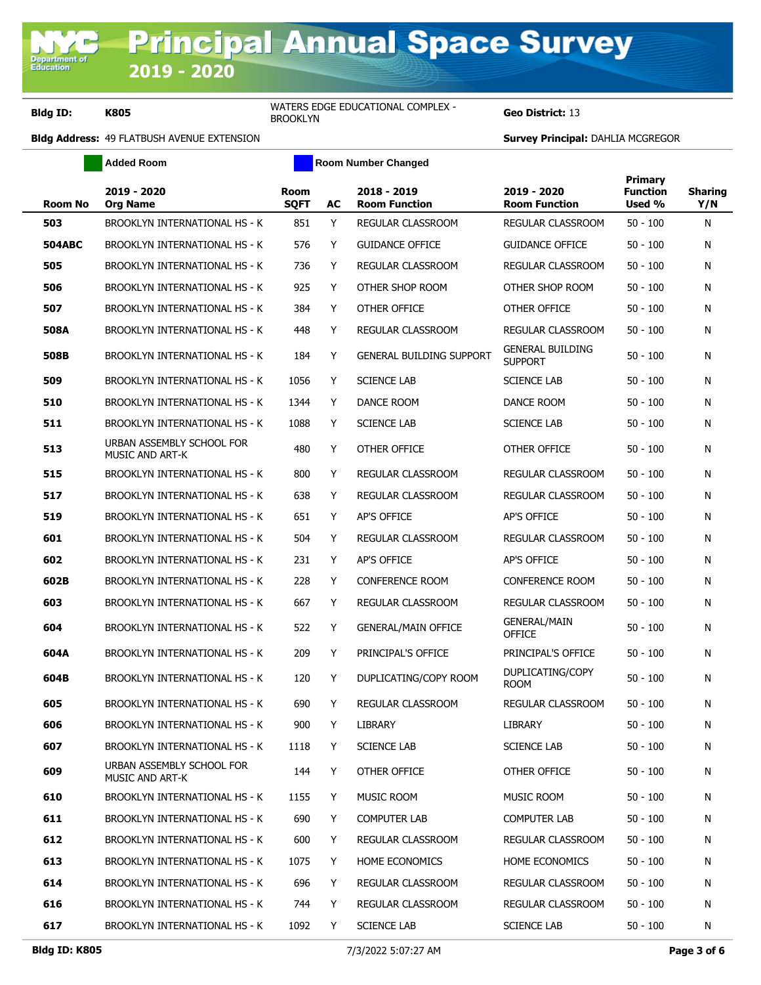**Geo District: 13** 

|                | <b>Added Room</b>                                   |                            |    | <b>Room Number Changed</b>          |                                           |                                      |                       |
|----------------|-----------------------------------------------------|----------------------------|----|-------------------------------------|-------------------------------------------|--------------------------------------|-----------------------|
| <b>Room No</b> | 2019 - 2020<br><b>Org Name</b>                      | <b>Room</b><br><b>SQFT</b> | AC | 2018 - 2019<br><b>Room Function</b> | 2019 - 2020<br><b>Room Function</b>       | Primary<br><b>Function</b><br>Used % | <b>Sharing</b><br>Y/N |
| 503            | BROOKLYN INTERNATIONAL HS - K                       | 851                        | Y  | REGULAR CLASSROOM                   | REGULAR CLASSROOM                         | $50 - 100$                           | N                     |
| <b>504ABC</b>  | <b>BROOKLYN INTERNATIONAL HS - K</b>                | 576                        | Y  | <b>GUIDANCE OFFICE</b>              | <b>GUIDANCE OFFICE</b>                    | $50 - 100$                           | N                     |
| 505            | BROOKLYN INTERNATIONAL HS - K                       | 736                        | Y  | REGULAR CLASSROOM                   | REGULAR CLASSROOM                         | $50 - 100$                           | N                     |
| 506            | BROOKLYN INTERNATIONAL HS - K                       | 925                        | Y  | OTHER SHOP ROOM                     | OTHER SHOP ROOM                           | $50 - 100$                           | N                     |
| 507            | BROOKLYN INTERNATIONAL HS - K                       | 384                        | Y  | OTHER OFFICE                        | OTHER OFFICE                              | $50 - 100$                           | N                     |
| 508A           | <b>BROOKLYN INTERNATIONAL HS - K</b>                | 448                        | Y  | <b>REGULAR CLASSROOM</b>            | REGULAR CLASSROOM                         | $50 - 100$                           | N                     |
| 508B           | <b>BROOKLYN INTERNATIONAL HS - K</b>                | 184                        | Y  | <b>GENERAL BUILDING SUPPORT</b>     | <b>GENERAL BUILDING</b><br><b>SUPPORT</b> | $50 - 100$                           | N                     |
| 509            | BROOKLYN INTERNATIONAL HS - K                       | 1056                       | Y  | <b>SCIENCE LAB</b>                  | <b>SCIENCE LAB</b>                        | $50 - 100$                           | N                     |
| 510            | BROOKLYN INTERNATIONAL HS - K                       | 1344                       | Y  | DANCE ROOM                          | DANCE ROOM                                | $50 - 100$                           | N                     |
| 511            | BROOKLYN INTERNATIONAL HS - K                       | 1088                       | Y  | <b>SCIENCE LAB</b>                  | <b>SCIENCE LAB</b>                        | $50 - 100$                           | N                     |
| 513            | URBAN ASSEMBLY SCHOOL FOR<br>MUSIC AND ART-K        | 480                        | Y  | OTHER OFFICE                        | OTHER OFFICE                              | $50 - 100$                           | N                     |
| 515            | <b>BROOKLYN INTERNATIONAL HS - K</b>                | 800                        | Y  | REGULAR CLASSROOM                   | REGULAR CLASSROOM                         | $50 - 100$                           | N                     |
| 517            | <b>BROOKLYN INTERNATIONAL HS - K</b>                | 638                        | Y  | <b>REGULAR CLASSROOM</b>            | REGULAR CLASSROOM                         | $50 - 100$                           | N                     |
| 519            | <b>BROOKLYN INTERNATIONAL HS - K</b>                | 651                        | Y  | <b>AP'S OFFICE</b>                  | AP'S OFFICE                               | $50 - 100$                           | N                     |
| 601            | BROOKLYN INTERNATIONAL HS - K                       | 504                        | Y  | REGULAR CLASSROOM                   | REGULAR CLASSROOM                         | $50 - 100$                           | N                     |
| 602            | BROOKLYN INTERNATIONAL HS - K                       | 231                        | Y  | AP'S OFFICE                         | AP'S OFFICE                               | $50 - 100$                           | N                     |
| 602B           | BROOKLYN INTERNATIONAL HS - K                       | 228                        | Y  | <b>CONFERENCE ROOM</b>              | <b>CONFERENCE ROOM</b>                    | $50 - 100$                           | N                     |
| 603            | <b>BROOKLYN INTERNATIONAL HS - K</b>                | 667                        | Y  | REGULAR CLASSROOM                   | REGULAR CLASSROOM                         | $50 - 100$                           | N                     |
| 604            | BROOKLYN INTERNATIONAL HS - K                       | 522                        | Y  | <b>GENERAL/MAIN OFFICE</b>          | <b>GENERAL/MAIN</b><br>OFFICE             | $50 - 100$                           | N                     |
| 604A           | <b>BROOKLYN INTERNATIONAL HS - K</b>                | 209                        | Y  | PRINCIPAL'S OFFICE                  | PRINCIPAL'S OFFICE                        | $50 - 100$                           | N                     |
| 604B           | <b>BROOKLYN INTERNATIONAL HS - K</b>                | 120                        | Y  | DUPLICATING/COPY ROOM               | DUPLICATING/COPY<br><b>ROOM</b>           | $50 - 100$                           | N                     |
| 605            | BROOKLYN INTERNATIONAL HS - K                       | 690                        | Y  | <b>REGULAR CLASSROOM</b>            | REGULAR CLASSROOM                         | $50 - 100$                           | Ν                     |
| 606            | <b>BROOKLYN INTERNATIONAL HS - K</b>                | 900                        | Y  | <b>LIBRARY</b>                      | <b>LIBRARY</b>                            | $50 - 100$                           | N                     |
| 607            | BROOKLYN INTERNATIONAL HS - K                       | 1118                       | Y  | <b>SCIENCE LAB</b>                  | <b>SCIENCE LAB</b>                        | $50 - 100$                           | N                     |
| 609            | URBAN ASSEMBLY SCHOOL FOR<br><b>MUSIC AND ART-K</b> | 144                        | Y  | OTHER OFFICE                        | OTHER OFFICE                              | $50 - 100$                           | Ν                     |
| 610            | <b>BROOKLYN INTERNATIONAL HS - K</b>                | 1155                       | Y  | MUSIC ROOM                          | MUSIC ROOM                                | $50 - 100$                           | N                     |
| 611            | <b>BROOKLYN INTERNATIONAL HS - K</b>                | 690                        | Y  | <b>COMPUTER LAB</b>                 | <b>COMPUTER LAB</b>                       | $50 - 100$                           | N                     |
| 612            | <b>BROOKLYN INTERNATIONAL HS - K</b>                | 600                        | Y  | REGULAR CLASSROOM                   | REGULAR CLASSROOM                         | $50 - 100$                           | N                     |
| 613            | <b>BROOKLYN INTERNATIONAL HS - K</b>                | 1075                       | Y  | <b>HOME ECONOMICS</b>               | <b>HOME ECONOMICS</b>                     | $50 - 100$                           | N                     |
| 614            | <b>BROOKLYN INTERNATIONAL HS - K</b>                | 696                        | Y  | REGULAR CLASSROOM                   | REGULAR CLASSROOM                         | $50 - 100$                           | N                     |
| 616            | <b>BROOKLYN INTERNATIONAL HS - K</b>                | 744                        | Y  | REGULAR CLASSROOM                   | REGULAR CLASSROOM                         | $50 - 100$                           | N                     |
| 617            | BROOKLYN INTERNATIONAL HS - K                       | 1092                       | Y  | <b>SCIENCE LAB</b>                  | <b>SCIENCE LAB</b>                        | 50 - 100                             | Ν                     |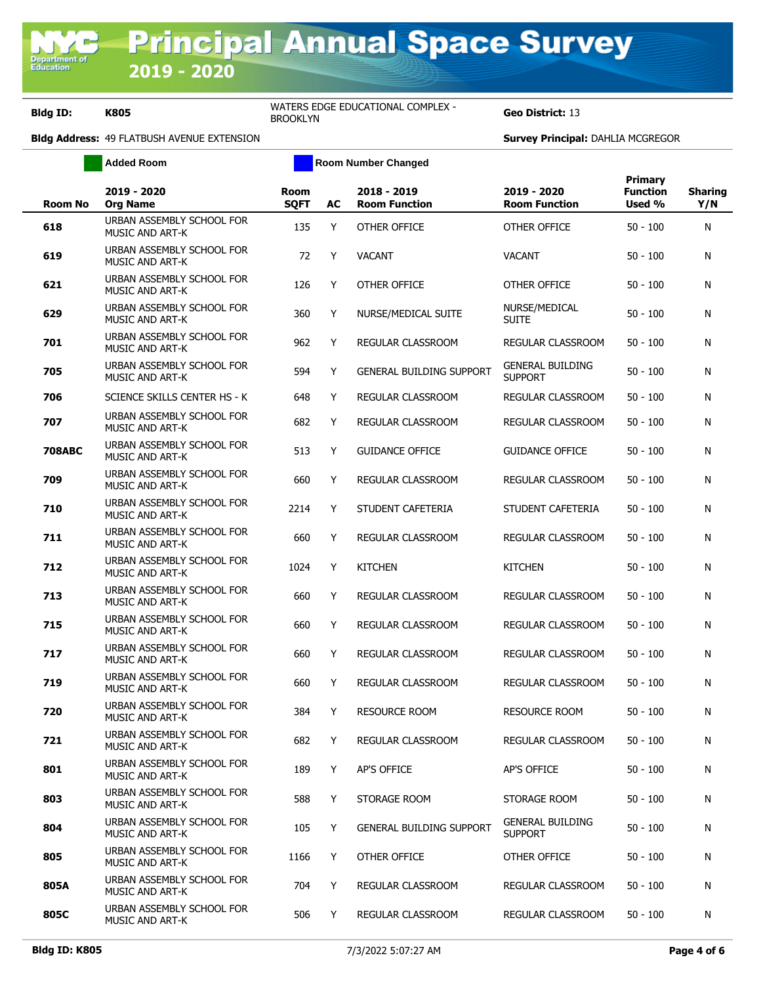**Geo District: 13** 

| <b>Added Room</b> |                                                     |                     |    | <b>Room Number Changed</b>          |                                           |                                      |                       |
|-------------------|-----------------------------------------------------|---------------------|----|-------------------------------------|-------------------------------------------|--------------------------------------|-----------------------|
| <b>Room No</b>    | 2019 - 2020<br><b>Org Name</b>                      | Room<br><b>SQFT</b> | AC | 2018 - 2019<br><b>Room Function</b> | 2019 - 2020<br><b>Room Function</b>       | Primary<br><b>Function</b><br>Used % | <b>Sharing</b><br>Y/N |
| 618               | URBAN ASSEMBLY SCHOOL FOR<br><b>MUSIC AND ART-K</b> | 135                 | Y  | OTHER OFFICE                        | OTHER OFFICE                              | $50 - 100$                           | N                     |
| 619               | URBAN ASSEMBLY SCHOOL FOR<br><b>MUSIC AND ART-K</b> | 72                  | Y  | <b>VACANT</b>                       | <b>VACANT</b>                             | $50 - 100$                           | N                     |
| 621               | URBAN ASSEMBLY SCHOOL FOR<br>MUSIC AND ART-K        | 126                 | Y  | OTHER OFFICE                        | OTHER OFFICE                              | $50 - 100$                           | N                     |
| 629               | URBAN ASSEMBLY SCHOOL FOR<br><b>MUSIC AND ART-K</b> | 360                 | Y  | NURSE/MEDICAL SUITE                 | NURSE/MEDICAL<br><b>SUITE</b>             | $50 - 100$                           | N                     |
| 701               | URBAN ASSEMBLY SCHOOL FOR<br><b>MUSIC AND ART-K</b> | 962                 | Y  | REGULAR CLASSROOM                   | REGULAR CLASSROOM                         | $50 - 100$                           | N                     |
| 705               | URBAN ASSEMBLY SCHOOL FOR<br>MUSIC AND ART-K        | 594                 | Y  | <b>GENERAL BUILDING SUPPORT</b>     | <b>GENERAL BUILDING</b><br><b>SUPPORT</b> | $50 - 100$                           | N                     |
| 706               | <b>SCIENCE SKILLS CENTER HS - K</b>                 | 648                 | Y  | REGULAR CLASSROOM                   | <b>REGULAR CLASSROOM</b>                  | $50 - 100$                           | N                     |
| 707               | URBAN ASSEMBLY SCHOOL FOR<br>MUSIC AND ART-K        | 682                 | Y  | REGULAR CLASSROOM                   | REGULAR CLASSROOM                         | $50 - 100$                           | N                     |
| <b>708ABC</b>     | URBAN ASSEMBLY SCHOOL FOR<br>MUSIC AND ART-K        | 513                 | Y  | <b>GUIDANCE OFFICE</b>              | <b>GUIDANCE OFFICE</b>                    | $50 - 100$                           | N                     |
| 709               | URBAN ASSEMBLY SCHOOL FOR<br>MUSIC AND ART-K        | 660                 | Y  | REGULAR CLASSROOM                   | <b>REGULAR CLASSROOM</b>                  | $50 - 100$                           | N                     |
| 710               | URBAN ASSEMBLY SCHOOL FOR<br><b>MUSIC AND ART-K</b> | 2214                | Y  | STUDENT CAFETERIA                   | STUDENT CAFETERIA                         | $50 - 100$                           | N                     |
| 711               | URBAN ASSEMBLY SCHOOL FOR<br><b>MUSIC AND ART-K</b> | 660                 | Y  | REGULAR CLASSROOM                   | REGULAR CLASSROOM                         | $50 - 100$                           | N                     |
| 712               | URBAN ASSEMBLY SCHOOL FOR<br><b>MUSIC AND ART-K</b> | 1024                | Y  | <b>KITCHEN</b>                      | <b>KITCHEN</b>                            | $50 - 100$                           | N                     |
| 713               | URBAN ASSEMBLY SCHOOL FOR<br>MUSIC AND ART-K        | 660                 | Y  | REGULAR CLASSROOM                   | REGULAR CLASSROOM                         | $50 - 100$                           | N                     |
| 715               | URBAN ASSEMBLY SCHOOL FOR<br>MUSIC AND ART-K        | 660                 | Y  | REGULAR CLASSROOM                   | REGULAR CLASSROOM                         | $50 - 100$                           | N                     |
| 717               | URBAN ASSEMBLY SCHOOL FOR<br>MUSIC AND ART-K        | 660                 | Y  | REGULAR CLASSROOM                   | REGULAR CLASSROOM                         | $50 - 100$                           | N                     |
| 719               | URBAN ASSEMBLY SCHOOL FOR<br>MUSIC AND ART-K        | 660                 | Y  | REGULAR CLASSROOM                   | REGULAR CLASSROOM                         | $50 - 100$                           | N                     |
| 720               | URBAN ASSEMBLY SCHOOL FOR<br>MUSIC AND ART-K        | 384                 | Y  | <b>RESOURCE ROOM</b>                | RESOURCE ROOM                             | $50 - 100$                           | N                     |
| 721               | URBAN ASSEMBLY SCHOOL FOR<br>MUSIC AND ART-K        | 682                 | Y  | REGULAR CLASSROOM                   | REGULAR CLASSROOM                         | $50 - 100$                           | N                     |
| 801               | URBAN ASSEMBLY SCHOOL FOR<br>MUSIC AND ART-K        | 189                 | Y  | AP'S OFFICE                         | AP'S OFFICE                               | $50 - 100$                           | N                     |
| 803               | URBAN ASSEMBLY SCHOOL FOR<br>MUSIC AND ART-K        | 588                 | Y  | STORAGE ROOM                        | STORAGE ROOM                              | $50 - 100$                           | N                     |
| 804               | URBAN ASSEMBLY SCHOOL FOR<br><b>MUSIC AND ART-K</b> | 105                 | Y  | <b>GENERAL BUILDING SUPPORT</b>     | <b>GENERAL BUILDING</b><br><b>SUPPORT</b> | $50 - 100$                           | N                     |
| 805               | URBAN ASSEMBLY SCHOOL FOR<br>MUSIC AND ART-K        | 1166                | Y  | OTHER OFFICE                        | OTHER OFFICE                              | $50 - 100$                           | N                     |
| 805A              | URBAN ASSEMBLY SCHOOL FOR<br>MUSIC AND ART-K        | 704                 | Y  | REGULAR CLASSROOM                   | REGULAR CLASSROOM                         | 50 - 100                             | N                     |
| 805C              | URBAN ASSEMBLY SCHOOL FOR<br>MUSIC AND ART-K        | 506                 | Y  | REGULAR CLASSROOM                   | REGULAR CLASSROOM                         | $50 - 100$                           | N                     |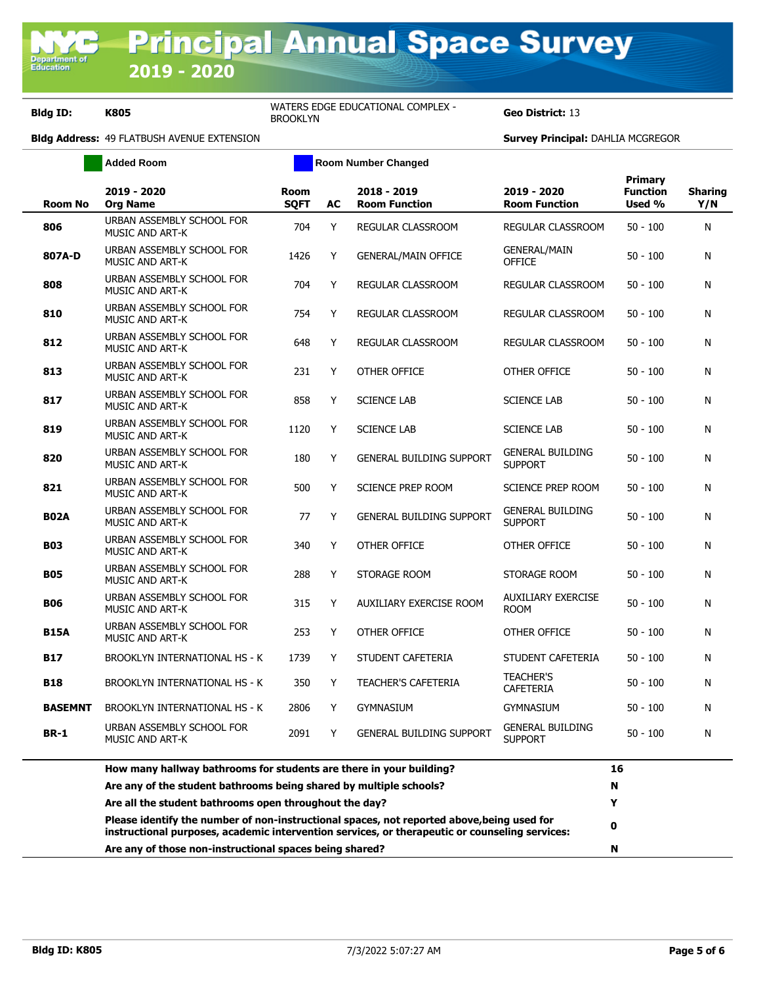**Geo District: 13** 

|                | <b>Added Room</b>                                                                                                                                                                            | <b>Room Number Changed</b> |    |                                     |                                           |                                             |                       |
|----------------|----------------------------------------------------------------------------------------------------------------------------------------------------------------------------------------------|----------------------------|----|-------------------------------------|-------------------------------------------|---------------------------------------------|-----------------------|
| <b>Room No</b> | 2019 - 2020<br><b>Org Name</b>                                                                                                                                                               | <b>Room</b><br><b>SQFT</b> | AC | 2018 - 2019<br><b>Room Function</b> | 2019 - 2020<br><b>Room Function</b>       | <b>Primary</b><br><b>Function</b><br>Used % | <b>Sharing</b><br>Y/N |
| 806            | URBAN ASSEMBLY SCHOOL FOR<br>MUSIC AND ART-K                                                                                                                                                 | 704                        | Y  | REGULAR CLASSROOM                   | REGULAR CLASSROOM                         | $50 - 100$                                  | N                     |
| 807A-D         | URBAN ASSEMBLY SCHOOL FOR<br>MUSIC AND ART-K                                                                                                                                                 | 1426                       | Υ  | <b>GENERAL/MAIN OFFICE</b>          | <b>GENERAL/MAIN</b><br><b>OFFICE</b>      | $50 - 100$                                  | N                     |
| 808            | URBAN ASSEMBLY SCHOOL FOR<br>MUSIC AND ART-K                                                                                                                                                 | 704                        | Υ  | <b>REGULAR CLASSROOM</b>            | <b>REGULAR CLASSROOM</b>                  | $50 - 100$                                  | N                     |
| 810            | URBAN ASSEMBLY SCHOOL FOR<br><b>MUSIC AND ART-K</b>                                                                                                                                          | 754                        | Υ  | REGULAR CLASSROOM                   | REGULAR CLASSROOM                         | $50 - 100$                                  | N                     |
| 812            | URBAN ASSEMBLY SCHOOL FOR<br>MUSIC AND ART-K                                                                                                                                                 | 648                        | Υ  | REGULAR CLASSROOM                   | REGULAR CLASSROOM                         | $50 - 100$                                  | N                     |
| 813            | URBAN ASSEMBLY SCHOOL FOR<br>MUSIC AND ART-K                                                                                                                                                 | 231                        | Y  | OTHER OFFICE                        | OTHER OFFICE                              | $50 - 100$                                  | N                     |
| 817            | URBAN ASSEMBLY SCHOOL FOR<br>MUSIC AND ART-K                                                                                                                                                 | 858                        | Y  | <b>SCIENCE LAB</b>                  | <b>SCIENCE LAB</b>                        | $50 - 100$                                  | N                     |
| 819            | URBAN ASSEMBLY SCHOOL FOR<br>MUSIC AND ART-K                                                                                                                                                 | 1120                       | Y  | <b>SCIENCE LAB</b>                  | <b>SCIENCE LAB</b>                        | $50 - 100$                                  | N                     |
| 820            | URBAN ASSEMBLY SCHOOL FOR<br>MUSIC AND ART-K                                                                                                                                                 | 180                        | Y  | <b>GENERAL BUILDING SUPPORT</b>     | <b>GENERAL BUILDING</b><br><b>SUPPORT</b> | $50 - 100$                                  | N                     |
| 821            | URBAN ASSEMBLY SCHOOL FOR<br><b>MUSIC AND ART-K</b>                                                                                                                                          | 500                        | Y  | SCIENCE PREP ROOM                   | <b>SCIENCE PREP ROOM</b>                  | $50 - 100$                                  | N                     |
| <b>B02A</b>    | URBAN ASSEMBLY SCHOOL FOR<br>MUSIC AND ART-K                                                                                                                                                 | 77                         | Y  | <b>GENERAL BUILDING SUPPORT</b>     | <b>GENERAL BUILDING</b><br><b>SUPPORT</b> | $50 - 100$                                  | N                     |
| <b>B03</b>     | URBAN ASSEMBLY SCHOOL FOR<br>MUSIC AND ART-K                                                                                                                                                 | 340                        | Y  | OTHER OFFICE                        | OTHER OFFICE                              | $50 - 100$                                  | N                     |
| <b>B05</b>     | URBAN ASSEMBLY SCHOOL FOR<br>MUSIC AND ART-K                                                                                                                                                 | 288                        | Y  | STORAGE ROOM                        | STORAGE ROOM                              | $50 - 100$                                  | N                     |
| <b>B06</b>     | URBAN ASSEMBLY SCHOOL FOR<br>MUSIC AND ART-K                                                                                                                                                 | 315                        | Y  | AUXILIARY EXERCISE ROOM             | <b>AUXILIARY EXERCISE</b><br><b>ROOM</b>  | 50 - 100                                    | N                     |
| <b>B15A</b>    | URBAN ASSEMBLY SCHOOL FOR<br>MUSIC AND ART-K                                                                                                                                                 | 253                        | Y  | OTHER OFFICE                        | OTHER OFFICE                              | $50 - 100$                                  | N                     |
| <b>B17</b>     | <b>BROOKLYN INTERNATIONAL HS - K</b>                                                                                                                                                         | 1739                       | Y  | STUDENT CAFETERIA                   | STUDENT CAFETERIA                         | $50 - 100$                                  | N                     |
| <b>B18</b>     | BROOKLYN INTERNATIONAL HS - K                                                                                                                                                                | 350                        | Y  | <b>TEACHER'S CAFETERIA</b>          | <b>TEACHER'S</b><br><b>CAFETERIA</b>      | $50 - 100$                                  | N                     |
| <b>BASEMNT</b> | BROOKLYN INTERNATIONAL HS - K                                                                                                                                                                | 2806                       | Y  | <b>GYMNASIUM</b>                    | <b>GYMNASIUM</b>                          | $50 - 100$                                  | N                     |
| <b>BR-1</b>    | URBAN ASSEMBLY SCHOOL FOR<br><b>MUSIC AND ART-K</b>                                                                                                                                          | 2091                       | Y  | <b>GENERAL BUILDING SUPPORT</b>     | <b>GENERAL BUILDING</b><br><b>SUPPORT</b> | $50 - 100$                                  | N                     |
|                | How many hallway bathrooms for students are there in your building?                                                                                                                          |                            |    |                                     |                                           | 16                                          |                       |
|                | Are any of the student bathrooms being shared by multiple schools?                                                                                                                           |                            |    |                                     |                                           | N                                           |                       |
|                | Are all the student bathrooms open throughout the day?                                                                                                                                       |                            |    |                                     |                                           | Y                                           |                       |
|                | Please identify the number of non-instructional spaces, not reported above, being used for<br>instructional purposes, academic intervention services, or therapeutic or counseling services: |                            |    |                                     |                                           | 0                                           |                       |
|                | Are any of those non-instructional spaces being shared?                                                                                                                                      |                            |    |                                     |                                           |                                             |                       |